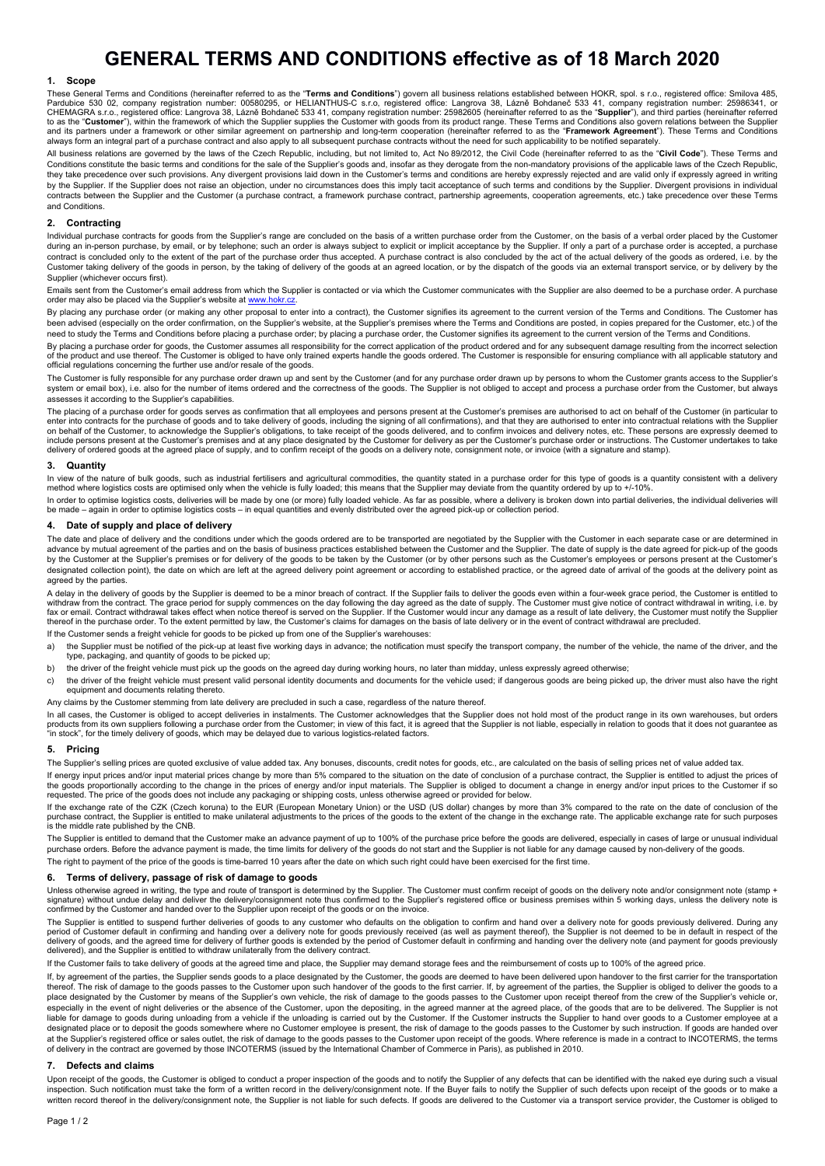# **GENERAL TERMS AND CONDITIONS effective as of 18 March 2020**

## **1. Scope**

These General Terms and Conditions (hereinafter referred to as the "**Terms and Conditions**") govern all business relations established between HOKR, spol. s r.o., registered office: Smilova 485,<br>Pardubice 530 02, company r to as the "**Customer**"), within the framework of which the Supplier supplies the Customer with goods from its product range. These Terms and Conditions also govern relations between the Supplier and its partners under a framework or other similar agreement on partnership and long-term cooperation (hereinafter referred to as the "**Framework Agreement**"). These Terms and Conditions always form an integral part of a purchase contract and also apply to all subsequent purchase contracts without the need for such applicability to be notified separately.

All business relations are governed by the laws of the Czech Republic, including, but not limited to, Act No 89/2012, the Civil Code (hereinafter referred to as the "**Civil Code**"). These Terms and Conditions constitute the basic terms and conditions for the sale of the Supplier's goods and, insofar as they derogate from the non-mandatory provisions of the applicable laws of the Czech Republic, they take precedence over such provisions. Any divergent provisions laid down in the Customer's terms and conditions are hereby expressly rejected and are valid only if expressly agreed in writing by the Supplier. If the Supplier does not raise an objection, under no circumstances does this imply tacit acceptance of such terms and conditions by the Supplier. Divergent provisions in individual<br>contracts between the S and Conditions.

## **2. Contracting**

Individual purchase contracts for goods from the Supplier's range are concluded on the basis of a written purchase order from the Customer, on the basis of a verbal order placed by the Customer during an in-person purchase, by email, or by telephone; such an order is always subject to explicit or implicit acceptance by the Supplier. If only a part of a purchase order is accepted, a purchase contract is concluded only to the extent of the part of the purchase order thus accepted. A purchase contract is also concluded by the act of the actual delivery of the goods as ordered, i.e. by the contract is also conclu Customer taking delivery of the goods in person, by the taking of delivery of the goods at an agreed location, or by the dispatch of the goods via an external transport service, or by delivery by the Supplier (whichever occurs first).

Emails sent from the Customer's email address from which the Supplier is contacted or via which the Customer communicates with the Supplier are also deemed to be a purchase order. A purchase<br>order may also be placed via th

By placing any purchase order (or making any other proposal to enter into a contract), the Customer signifies its agreement to the current version of the Terms and Conditions. The Customer has been advised (especially on the order confirmation, on the Supplier's website, at the Supplier's premises where the Terms and Conditions are posted, in copies prepared for the Customer, etc.) of the need to study the Terms and Conditions before placing a purchase order; by placing a purchase order, the Customer signifies its agreement to the current version of the Terms and Conditions

By placing a purchase order for goods, the Customer assumes all responsibility for the correct application of the product ordered and for any subsequent damage resulting from the incorrect selection<br>of the product and use official regulations concerning the further use and/or resale of the goods.

The Customer is fully responsible for any purchase order drawn up and sent by the Customer (and for any purchase order drawn up by persons to whom the Customer grants access to the Supplier's system or email box), i.e. also for the number of items ordered and the correctness of the goods. The Supplier is not obliged to accept and process a purchase order from the Customer, but always assesses it according to the Supplier's capabilities.

The placing of a purchase order for goods serves as confirmation that all employees and persons present at the Customer's premises are authorised to act on behalf of the Customer (in particular to enter into contracts for the purchase of goods and to take delivery of goods, including the signing of all confirmations), and that they are authorised to enter into contractual relations with the Supplier<br>on behalf of the delivery of ordered goods at the agreed place of supply, and to confirm receipt of the goods on a delivery note, consignment note, or invoice (with a signature and stamp).

#### **3. Quantity**

In view of the nature of bulk goods, such as industrial fertilisers and agricultural commodities, the quantity stated in a purchase order for this type of goods is a quantity consistent with a delivery method where logistics costs are optimised only when the vehicle is fully loaded; this means that the Supplier may deviate from the quantity ordered by up to +/-10%.

In order to optimise logistics costs, deliveries will be made by one (or more) fully loaded vehicle. As far as possible, where a delivery is broken down into partial deliveries, the individual deliveries will<br>be made – aga

#### **4. Date of supply and place of delivery**

The date and place of delivery and the conditions under which the goods ordered are to be transported are negotiated by the Supplier with the Customer in each separate case or are determined in advance by mutual agreement of the parties and on the basis of business practices established between the Customer and the Supplier. The date of supply is the date agreed for pick-up of the goods by the Customer at the Supplier's premises or for delivery of the goods to be taken by the Customer (or by other persons such as the Customer's employees or persons present at the Customer's designated collection point), the date on which are left at the agreed delivery point agreement or according to established practice, or the agreed date of arrival of the goods at the delivery point as agreed by the parties.

A delay in the delivery of goods by the Supplier is deemed to be a minor breach of contract. If the Supplier fails to deliver the goods even within a four-week grace period, the Customer is entitled to<br>withdraw from the co fax or email. Contract withdrawal takes effect when notice thereof is served on the Supplier. If the Customer would incur any damage as a result of late delivery, the Customer must notify the Supplier<br>thereof in the purcha

If the Customer sends a freight vehicle for goods to be picked up from one of the Supplier's warehouses:

- a) the Supplier must be notified of the pick-up at least five working days in advance; the notification must specify the transport company, the number of the vehicle, the name of the driver, and the type, packaging, and quantity of goods to be picked up;
- b) the driver of the freight vehicle must pick up the goods on the agreed day during working hours, no later than midday, unless expressly agreed otherwise;
- c) the driver of the freight vehicle must present valid personal identity documents and documents for the vehicle used; if dangerous goods are being picked up, the driver must also have the right equipment and documents relating thereto.

## Any claims by the Customer stemming from late delivery are precluded in such a case, regardless of the nature thereof.

In all cases, the Customer is obliged to accept deliveries in instalments. The Customer acknowledges that the Supplier does not hold most of the product range in its own warehouses, but orders products from its own suppliers following a purchase order from the Customer; in view of this fact, it is agreed that the Supplier is not liable, especially in relation to goods that it does not guarantee as<br>"in stock", fo

#### **5. Pricing**

The Supplier's selling prices are quoted exclusive of value added tax. Any bonuses, discounts, credit notes for goods, etc., are calculated on the basis of selling prices net of value added tax.

If energy input prices and/or input material prices change by more than 5% compared to the situation on the date of conclusion of a purchase contract, the Supplier is entitled to adjust the prices of<br>the goods proportional requested. The price of the goods does not include any packaging or shipping costs, unless otherwise agreed or provided for below.

If the exchange rate of the CZK (Czech koruna) to the EUR (European Monetary Union) or the USD (US dollar) changes by more than 3% compared to the rate on the date of conclusion of the<br>purchase contract, the Supplier is en

The Supplier is entitled to demand that the Customer make an advance payment of up to 100% of the purchase price before the goods are delivered, especially in cases of large or unusual individual purchase orders. Before the advance payment is made, the time limits for delivery of the goods do not start and the Supplier is not liable for any damage caused by non-delivery of the goods. The right to payment of the price of the goods is time-barred 10 years after the date on which such right could have been exercised for the first time

#### **6. Terms of delivery, passage of risk of damage to goods**

Unless otherwise agreed in writing, the type and route of transport is determined by the Supplier. The Customer must confirm receipt of goods on the delivery note and/or consignment note (stamp + signature) without undue delay and deliver the delivery/consignment note thus confirmed to the Supplier's registered office or business premises within 5 working days, unless the delivery note is confirmed by the Customer and handed over to the Supplier upon receipt of the goods or on the invoice.

The Supplier is entitled to suspend further deliveries of goods to any customer who defaults on the obligation to confirm and hand over a delivery note for goods previously delivered. During any period of Customer default in confirming and handing over a delivery note for goods previously received (as well as payment thereof), the Supplier is not deemed to be in default in respect of the<br>delivery of goods, and the delivered), and the Supplier is entitled to withdraw unilaterally from the delivery contract.

If the Customer fails to take delivery of goods at the agreed time and place, the Supplier may demand storage fees and the reimbursement of costs up to 100% of the agreed price.

If, by agreement of the parties, the Supplier sends goods to a place designated by the Customer, the goods are deemed to have been delivered upon handover to the first carrier for the transportation thereof. The risk of damage to the goods passes to the Customer upon such handover of the goods to the first carrier. If, by agreement of the parties, the Supplier is obliged to deliver the goods to a place designated by the Customer by means of the Supplier's own vehicle, the risk of damage to the goods passes to the Customer upon receipt thereof from the crew of the Supplier's vehicle or,<br>especially in the event of ni liable for damage to goods during unloading from a vehicle if the unloading is carried out by the Customer. If the Customer instructs the Supplier to hand over goods to a Customer employee at a designated place or to deposit the goods somewhere where no Customer employee is present, the risk of damage to the goods passes to the Customer by such instruction. If goods are handed over at the Supplier's registered office or sales outlet, the risk of damage to the goods passes to the Customer upon receipt of the goods. Where reference is made in a contract to INCOTERMS, the terms at the Supplier's registe of delivery in the contract are governed by those INCOTERMS (issued by the International Chamber of Commerce in Paris), as published in 2010.

#### **7. Defects and claims**

Upon receipt of the goods, the Customer is obliged to conduct a proper inspection of the goods and to notify the Supplier of any defects that can be identified with the naked eye during such a visual inspection. Such notification must take the form of a written record in the delivery/consignment note. If the Buyer fails to notify the Supplier of such defects upon receipt of the goods or to make a written record thereof in the delivery/consignment note, the Supplier is not liable for such defects. If goods are delivered to the Customer ivia a transport service provider, the Customer is obliged to